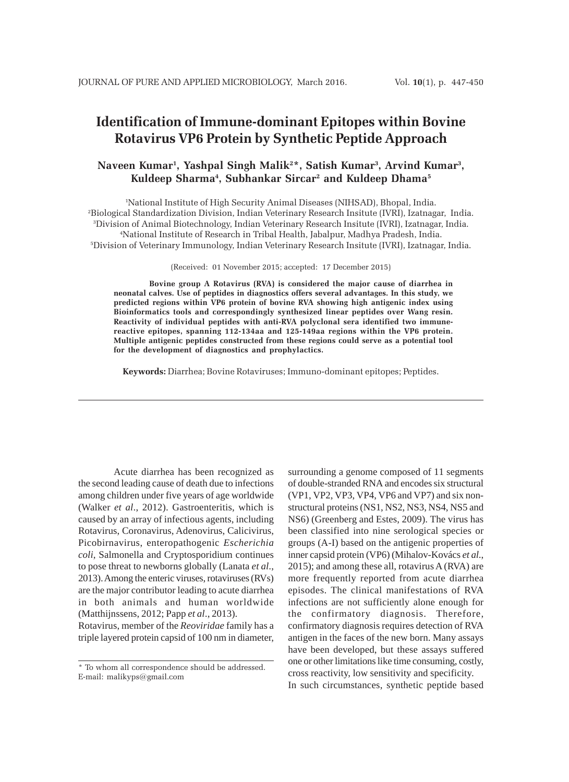# **Identification of Immune-dominant Epitopes within Bovine Rotavirus VP6 Protein by Synthetic Peptide Approach**

# **Naveen Kumar1 , Yashpal Singh Malik2 \*, Satish Kumar3 , Arvind Kumar3 , Kuldeep Sharma4 , Subhankar Sircar2 and Kuldeep Dhama5**

 National Institute of High Security Animal Diseases (NIHSAD), Bhopal, India. Biological Standardization Division, Indian Veterinary Research Insitute (IVRI), Izatnagar, India. Division of Animal Biotechnology, Indian Veterinary Research Insitute (IVRI), Izatnagar, India. National Institute of Research in Tribal Health, Jabalpur, Madhya Pradesh, India. Division of Veterinary Immunology, Indian Veterinary Research Insitute (IVRI), Izatnagar, India.

(Received: 01 November 2015; accepted: 17 December 2015)

**Bovine group A Rotavirus (RVA) is considered the major cause of diarrhea in neonatal calves. Use of peptides in diagnostics offers several advantages. In this study, we predicted regions within VP6 protein of bovine RVA showing high antigenic index using Bioinformatics tools and correspondingly synthesized linear peptides over Wang resin. Reactivity of individual peptides with anti-RVA polyclonal sera identified two immunereactive epitopes, spanning 112-134aa and 125-149aa regions within the VP6 protein. Multiple antigenic peptides constructed from these regions could serve as a potential tool for the development of diagnostics and prophylactics.**

**Keywords:** Diarrhea; Bovine Rotaviruses; Immuno-dominant epitopes; Peptides.

Acute diarrhea has been recognized as the second leading cause of death due to infections among children under five years of age worldwide (Walker *et al*., 2012). Gastroenteritis, which is caused by an array of infectious agents, including Rotavirus, Coronavirus, Adenovirus, Calicivirus, Picobirnavirus, enteropathogenic *Escherichia coli*, Salmonella and Cryptosporidium continues to pose threat to newborns globally (Lanata *et al*., 2013). Among the enteric viruses, rotaviruses (RVs) are the major contributor leading to acute diarrhea in both animals and human worldwide (Matthijnssens, 2012; Papp *et al*., 2013).

Rotavirus, member of the *Reoviridae* family has a triple layered protein capsid of 100 nm in diameter, surrounding a genome composed of 11 segments of double-stranded RNA and encodes six structural (VP1, VP2, VP3, VP4, VP6 and VP7) and six nonstructural proteins (NS1, NS2, NS3, NS4, NS5 and NS6) (Greenberg and Estes, 2009). The virus has been classified into nine serological species or groups (A-I) based on the antigenic properties of inner capsid protein (VP6) (Mihalov-Kovács *et al*., 2015); and among these all, rotavirus A (RVA) are more frequently reported from acute diarrhea episodes. The clinical manifestations of RVA infections are not sufficiently alone enough for the confirmatory diagnosis. Therefore, confirmatory diagnosis requires detection of RVA antigen in the faces of the new born. Many assays have been developed, but these assays suffered one or other limitations like time consuming, costly, cross reactivity, low sensitivity and specificity. In such circumstances, synthetic peptide based

<sup>\*</sup> To whom all correspondence should be addressed. E-mail: malikyps@gmail.com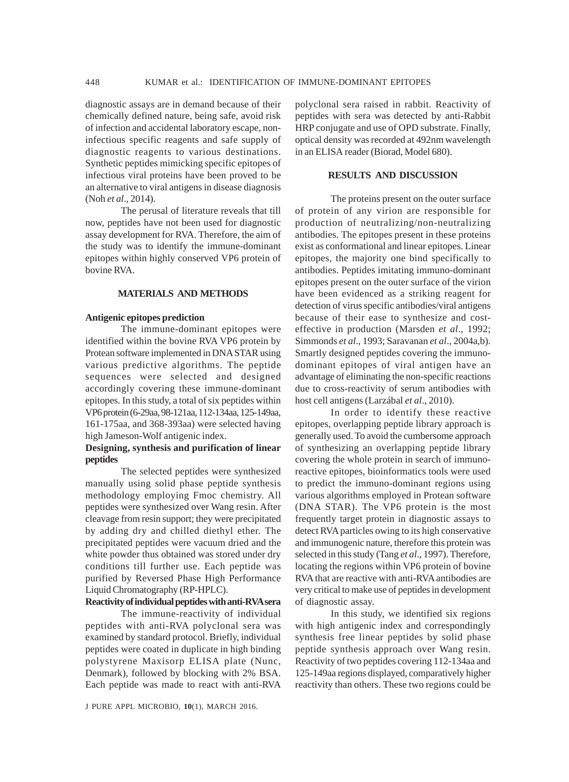diagnostic assays are in demand because of their chemically defined nature, being safe, avoid risk of infection and accidental laboratory escape, noninfectious specific reagents and safe supply of diagnostic reagents to various destinations. Synthetic peptides mimicking specific epitopes of infectious viral proteins have been proved to be an alternative to viral antigens in disease diagnosis (Noh *et al*., 2014).

The perusal of literature reveals that till now, peptides have not been used for diagnostic assay development for RVA. Therefore, the aim of the study was to identify the immune-dominant epitopes within highly conserved VP6 protein of bovine RVA.

### **MATERIALS AND METHODS**

#### **Antigenic epitopes prediction**

The immune-dominant epitopes were identified within the bovine RVA VP6 protein by Protean software implemented in DNA STAR using various predictive algorithms. The peptide sequences were selected and designed accordingly covering these immune-dominant epitopes. In this study, a total of six peptides within VP6 protein (6-29aa, 98-121aa, 112-134aa, 125-149aa, 161-175aa, and 368-393aa) were selected having high Jameson-Wolf antigenic index.

## **Designing, synthesis and purification of linear peptides**

The selected peptides were synthesized manually using solid phase peptide synthesis methodology employing Fmoc chemistry. All peptides were synthesized over Wang resin. After cleavage from resin support; they were precipitated by adding dry and chilled diethyl ether. The precipitated peptides were vacuum dried and the white powder thus obtained was stored under dry conditions till further use. Each peptide was purified by Reversed Phase High Performance Liquid Chromatography (RP-HPLC).

### **Reactivity of individual peptides with anti-RVA sera**

The immune-reactivity of individual peptides with anti-RVA polyclonal sera was examined by standard protocol. Briefly, individual peptides were coated in duplicate in high binding polystyrene Maxisorp ELISA plate (Nunc, Denmark), followed by blocking with 2% BSA. Each peptide was made to react with anti-RVA polyclonal sera raised in rabbit. Reactivity of peptides with sera was detected by anti-Rabbit HRP conjugate and use of OPD substrate. Finally, optical density was recorded at 492nm wavelength in an ELISA reader (Biorad, Model 680).

### **RESULTS AND DISCUSSION**

The proteins present on the outer surface of protein of any virion are responsible for production of neutralizing/non-neutralizing antibodies. The epitopes present in these proteins exist as conformational and linear epitopes. Linear epitopes, the majority one bind specifically to antibodies. Peptides imitating immuno-dominant epitopes present on the outer surface of the virion have been evidenced as a striking reagent for detection of virus specific antibodies/viral antigens because of their ease to synthesize and costeffective in production (Marsden *et al*., 1992; Simmonds *et al*., 1993; Saravanan *et al*., 2004a,b). Smartly designed peptides covering the immunodominant epitopes of viral antigen have an advantage of eliminating the non-specific reactions due to cross-reactivity of serum antibodies with host cell antigens (Larzábal *et al*., 2010).

In order to identify these reactive epitopes, overlapping peptide library approach is generally used. To avoid the cumbersome approach of synthesizing an overlapping peptide library covering the whole protein in search of immunoreactive epitopes, bioinformatics tools were used to predict the immuno-dominant regions using various algorithms employed in Protean software (DNA STAR). The VP6 protein is the most frequently target protein in diagnostic assays to detect RVA particles owing to its high conservative and immunogenic nature, therefore this protein was selected in this study (Tang *et al*., 1997). Therefore, locating the regions within VP6 protein of bovine RVA that are reactive with anti-RVA antibodies are very critical to make use of peptides in development of diagnostic assay.

In this study, we identified six regions with high antigenic index and correspondingly synthesis free linear peptides by solid phase peptide synthesis approach over Wang resin. Reactivity of two peptides covering 112-134aa and 125-149aa regions displayed, comparatively higher reactivity than others. These two regions could be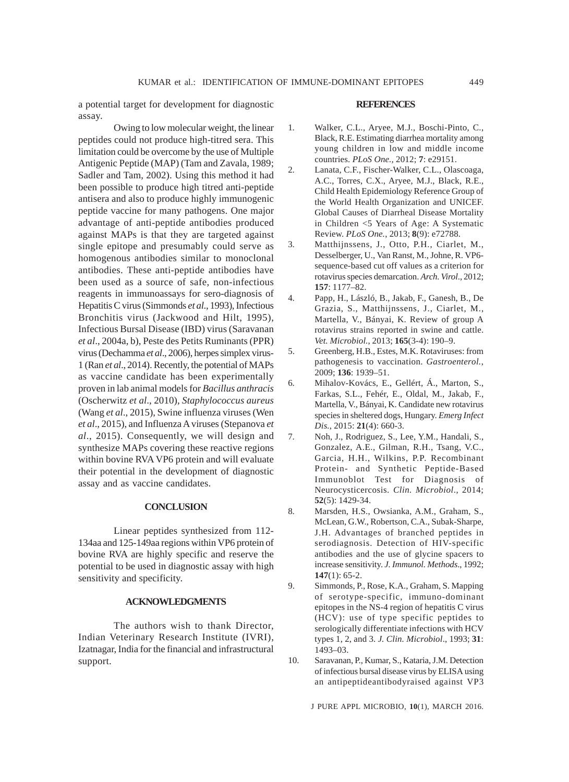a potential target for development for diagnostic assay.

Owing to low molecular weight, the linear peptides could not produce high-titred sera. This limitation could be overcome by the use of Multiple Antigenic Peptide (MAP) (Tam and Zavala, 1989; Sadler and Tam, 2002). Using this method it had been possible to produce high titred anti-peptide antisera and also to produce highly immunogenic peptide vaccine for many pathogens. One major advantage of anti-peptide antibodies produced against MAPs is that they are targeted against single epitope and presumably could serve as homogenous antibodies similar to monoclonal antibodies. These anti-peptide antibodies have been used as a source of safe, non-infectious reagents in immunoassays for sero-diagnosis of Hepatitis C virus (Simmonds *et al*., 1993), Infectious Bronchitis virus (Jackwood and Hilt, 1995), Infectious Bursal Disease (IBD) virus (Saravanan *et al*., 2004a, b), Peste des Petits Ruminants (PPR) virus (Dechamma *et al*., 2006), herpes simplex virus-1 (Ran *et al*., 2014). Recently, the potential of MAPs as vaccine candidate has been experimentally proven in lab animal models for *Bacillus anthracis* (Oscherwitz *et al*., 2010)*, Staphylococcus aureus* (Wang *et al*., 2015), Swine influenza viruses (Wen *et al*., 2015), and Influenza A viruses (Stepanova *et al*., 2015). Consequently, we will design and synthesize MAPs covering these reactive regions within bovine RVA VP6 protein and will evaluate their potential in the development of diagnostic assay and as vaccine candidates.

#### **CONCLUSION**

Linear peptides synthesized from 112- 134aa and 125-149aa regions within VP6 protein of bovine RVA are highly specific and reserve the potential to be used in diagnostic assay with high sensitivity and specificity.

# **ACKNOWLEDGMENTS**

The authors wish to thank Director, Indian Veterinary Research Institute (IVRI), Izatnagar, India for the financial and infrastructural support.

#### **REFERENCES**

- 1. Walker, C.L., Aryee, M.J., Boschi-Pinto, C., Black, R.E. Estimating diarrhea mortality among young children in low and middle income countries. *PLoS One.,* 2012; **7**: e29151.
- 2. Lanata, C.F., Fischer-Walker, C.L., Olascoaga, A.C., Torres, C.X., Aryee, M.J., Black, R.E., Child Health Epidemiology Reference Group of the World Health Organization and UNICEF. Global Causes of Diarrheal Disease Mortality in Children <5 Years of Age: A Systematic Review. *PLoS One.*, 2013; **8**(9): e72788.
- 3. Matthijnssens, J., Otto, P.H., Ciarlet, M., Desselberger, U., Van Ranst, M., Johne, R. VP6 sequence-based cut off values as a criterion for rotavirus species demarcation. *Arch. Virol*., 2012; **157**: 1177–82.
- 4. Papp, H., László, B., Jakab, F., Ganesh, B., De Grazia, S., Matthijnssens, J., Ciarlet, M., Martella, V., Bányai, K. Review of group A rotavirus strains reported in swine and cattle. *Vet. Microbiol.*, 2013; **165**(3-4): 190–9.
- 5. Greenberg, H.B., Estes, M.K. Rotaviruses: from pathogenesis to vaccination. *Gastroenterol.*, 2009; **136**: 1939–51.
- 6. Mihalov-Kovács, E., Gellért, Á., Marton, S., Farkas, S.L., Fehér, E., Oldal, M., Jakab, F., Martella, V., Bányai, K. Candidate new rotavirus species in sheltered dogs, Hungary. *Emerg Infect Dis.*, 2015: **21**(4): 660-3.
- 7. Noh, J., Rodriguez, S., Lee, Y.M., Handali, S., Gonzalez, A.E., Gilman, R.H., Tsang, V.C., Garcia, H.H., Wilkins, P.P. Recombinant Protein- and Synthetic Peptide-Based Immunoblot Test for Diagnosis of Neurocysticercosis. *Clin. Microbiol*., 2014; **52**(5): 1429-34.
- 8. Marsden, H.S., Owsianka, A.M., Graham, S., McLean, G.W., Robertson, C.A., Subak-Sharpe, J.H. Advantages of branched peptides in serodiagnosis. Detection of HIV-specific antibodies and the use of glycine spacers to increase sensitivity. *J. Immunol. Methods*., 1992; **147**(1): 65-2.
- 9. Simmonds, P., Rose, K.A., Graham, S. Mapping of serotype-specific, immuno-dominant epitopes in the NS-4 region of hepatitis C virus (HCV): use of type specific peptides to serologically differentiate infections with HCV types 1, 2, and 3. *J. Clin. Microbiol*., 1993; **31**: 1493–03.
- 10. Saravanan, P., Kumar, S., Kataria, J.M. Detection of infectious bursal disease virus by ELISA using an antipeptideantibodyraised against VP3

J PURE APPL MICROBIO*,* **10**(1), MARCH 2016.